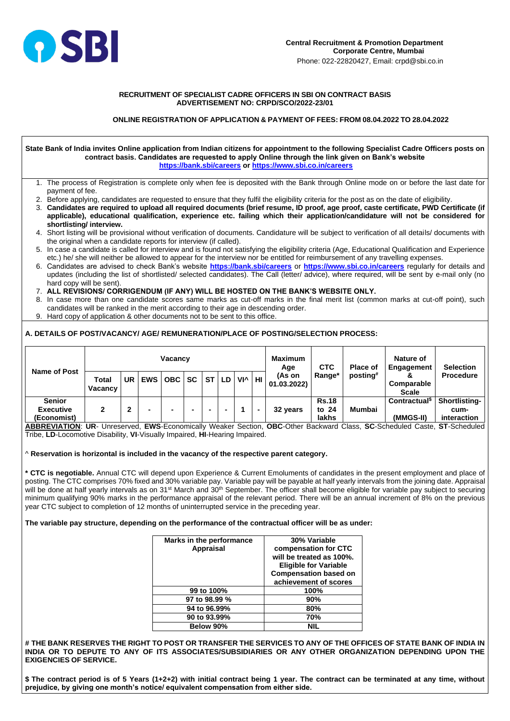

### **RECRUITMENT OF SPECIALIST CADRE OFFICERS IN SBI ON CONTRACT BASIS ADVERTISEMENT NO: CRPD/SCO/2022-23/01**

## **ONLINE REGISTRATION OF APPLICATION & PAYMENT OF FEES: FROM 08.04.2022 TO 28.04.2022**

#### **State Bank of India invites Online application from Indian citizens for appointment to the following Specialist Cadre Officers posts on contract basis. Candidates are requested to apply Online through the link given on Bank's website <https://bank.sbi/careers> or<https://www.sbi.co.in/careers>**

- 1. The process of Registration is complete only when fee is deposited with the Bank through Online mode on or before the last date for payment of fee.
- 2. Before applying, candidates are requested to ensure that they fulfil the eligibility criteria for the post as on the date of eligibility.
- 3. **Candidates are required to upload all required documents (brief resume, ID proof, age proof, caste certificate, PWD Certificate (if applicable), educational qualification, experience etc. failing which their application/candidature will not be considered for shortlisting/ interview.**
- 4. Short listing will be provisional without verification of documents. Candidature will be subject to verification of all details/ documents with the original when a candidate reports for interview (if called).
- 5. In case a candidate is called for interview and is found not satisfying the eligibility criteria (Age, Educational Qualification and Experience etc.) he/ she will neither be allowed to appear for the interview nor be entitled for reimbursement of any travelling expenses.
- 6. Candidates are advised to check Bank's website **<https://bank.sbi/careers>** or **<https://www.sbi.co.in/careers>** regularly for details and updates (including the list of shortlisted/ selected candidates). The Call (letter/ advice), where required, will be sent by e-mail only (no hard copy will be sent).
- 7. **ALL REVISIONS/ CORRIGENDUM (IF ANY) WILL BE HOSTED ON THE BANK'S WEBSITE ONLY.**
- 8. In case more than one candidate scores same marks as cut-off marks in the final merit list (common marks at cut-off point), such candidates will be ranked in the merit according to their age in descending order.
- 9. Hard copy of application & other documents not to be sent to this office.

# THE BANK RESERVES THE RIGHT TO POST OR TRANSFER THE SERVICES TO ANY OF THE OFFICES OF STATE BANK OF INDIA IN **INDIA OR TO DEPUTE TO ANY OF ITS ASSOCIATES/SUBSIDIARIES OR ANY OTHER ORGANIZATION DEPENDING UPON THE EXIGENCIES OF SERVICE.**

# **A. DETAILS OF POST/VACANCY/ AGE/ REMUNERATION/PLACE OF POSTING/SELECTION PROCESS:**

| <b>Name of Post</b>                              | <b>Total</b><br><b>Vacancy</b> | UR | <b>EWS</b> | <b>Vacancy</b><br>OBC | SC <sub>1</sub> | <b>ST</b> | LD | $VI^{\wedge}$ | HI | <b>Maximum</b><br>Age<br>(As on<br>01.03.2022 | <b>CTC</b><br>Range*           | <b>Place of</b><br>posting# | Nature of<br>Engagement<br>Ō<br><b>Comparable</b>      | <b>Selection</b><br><b>Procedure</b>        |
|--------------------------------------------------|--------------------------------|----|------------|-----------------------|-----------------|-----------|----|---------------|----|-----------------------------------------------|--------------------------------|-----------------------------|--------------------------------------------------------|---------------------------------------------|
| <b>Senior</b><br><b>Executive</b><br>(Economist) |                                | າ  | -          | -                     | -               | $\sim$    |    |               | -  | 32 years                                      | <b>Rs.18</b><br>to 24<br>lakhs | Mumbai                      | <b>Scale</b><br>Contractual <sup>\$</sup><br>(MMGS-II) | <b>Shortlisting-</b><br>cum-<br>interaction |

**ABBREVIATION**: **UR**- Unreserved, **EWS**-Economically Weaker Section, **OBC**-Other Backward Class, **SC**-Scheduled Caste, **ST**-Scheduled Tribe, **LD**-Locomotive Disability, **VI**-Visually Impaired, **HI**-Hearing Impaired.

^ **Reservation is horizontal is included in the vacancy of the respective parent category.**

**\* CTC is negotiable.** Annual CTC will depend upon Experience & Current Emoluments of candidates in the present employment and place of posting. The CTC comprises 70% fixed and 30% variable pay. Variable pay will be payable at half yearly intervals from the joining date. Appraisal will be done at half yearly intervals as on 31<sup>st</sup> March and 30<sup>th</sup> September. The officer shall become eligible for variable pay subject to securing minimum qualifying 90% marks in the performance appraisal of the relevant period. There will be an annual increment of 8% on the previous year CTC subject to completion of 12 months of uninterrupted service in the preceding year.

**The variable pay structure, depending on the performance of the contractual officer will be as under:**

| Marks in the performance | 30% Variable |
|--------------------------|--------------|
|                          |              |

| <b>Appraisal</b> | compensation for CTC<br>will be treated as 100%.<br><b>Eligible for Variable</b><br><b>Compensation based on</b><br>achievement of scores |
|------------------|-------------------------------------------------------------------------------------------------------------------------------------------|
| 99 to 100%       | 100%                                                                                                                                      |
| 97 to 98.99 %    | 90%                                                                                                                                       |
| 94 to 96.99%     | 80%                                                                                                                                       |
| 90 to 93.99%     | 70%                                                                                                                                       |
| Below 90%        | NIL                                                                                                                                       |

**\$ The contract period is of 5 Years (1+2+2) with initial contract being 1 year. The contract can be terminated at any time, without prejudice, by giving one month's notice/ equivalent compensation from either side.**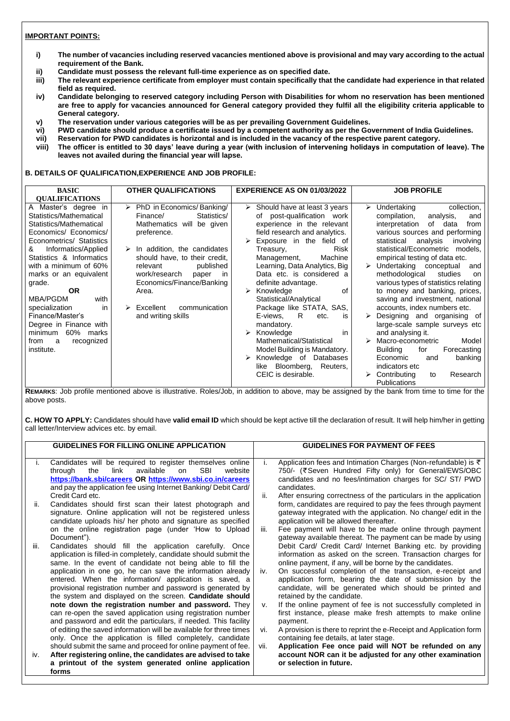## **IMPORTANT POINTS:**

- **i) The number of vacancies including reserved vacancies mentioned above is provisional and may vary according to the actual requirement of the Bank.**
- **ii) Candidate must possess the relevant full-time experience as on specified date.**
- **iii) The relevant experience certificate from employer must contain specifically that the candidate had experience in that related field as required.**
- **iv) Candidate belonging to reserved category including Person with Disabilities for whom no reservation has been mentioned are free to apply for vacancies announced for General category provided they fulfil all the eligibility criteria applicable to General category.**
- **v) The reservation under various categories will be as per prevailing Government Guidelines.**
- **vi) PWD candidate should produce a certificate issued by a competent authority as per the Government of India Guidelines.**
- **vii) Reservation for PWD candidates is horizontal and is included in the vacancy of the respective parent category.**
- **viii) The officer is entitled to 30 days' leave during a year (with inclusion of intervening holidays in computation of leave). The leaves not availed during the financial year will lapse.**

### **B. DETAILS OF QUALIFICATION,EXPERIENCE AND JOB PROFILE:**

| $\triangleright$ PhD in Economics/Banking/<br>A Master's degree in<br>Undertaking<br>$\triangleright$ Should have at least 3 years<br>collection,<br>➤<br>Statistics/Mathematical<br>of post-qualification work<br>Statistics/<br>compilation,<br>Finance/<br>analysis,<br>and<br>Statistics/Mathematical<br>experience in the relevant<br>Mathematics will be given<br>interpretation<br>of<br>data<br>from<br>field research and analytics.<br>Economics/ Economics/<br>preference.<br>various sources and performing<br>Econometrics/ Statistics<br>Exposure in the field of<br>statistical<br>analysis<br>involving<br><b>Risk</b><br>Informatics/Applied<br>$\triangleright$ In addition, the candidates<br>statistical/Econometric<br>&<br>models,<br>Treasury,<br>Statistics & Informatics<br>should have, to their credit,<br>Machine<br>empirical testing of data etc.<br>Management,<br>with a minimum of 60%<br>Learning, Data Analytics, Big<br>$\triangleright$ Undertaking conceptual<br>published<br>relevant<br>and<br>Data etc. is considered a<br>methodological<br>marks or an equivalent<br>work/research<br>studies<br>paper<br>in<br>on<br>Economics/Finance/Banking<br>various types of statistics relating<br>definite advantage.<br>grade.<br>Knowledge<br>to money and banking, prices,<br>of<br><b>OR</b><br>Area.<br>➤<br>saving and investment, national<br>MBA/PGDM<br>Statistical/Analytical<br>with<br>Package like STATA, SAS,<br>communication<br>accounts, index numbers etc.<br>specialization<br>Excellent<br>in.<br>Finance/Master's<br>and writing skills<br>R<br>E-views,<br>Designing and organising of<br>etc.<br><b>IS</b><br>large-scale sample surveys etc<br>Degree in Finance with<br>mandatory.<br>60% marks<br>Knowledge<br>and analysing it.<br>minimum<br>➤<br>$\mathsf{in}$<br>Mathematical/Statistical<br>Macro-econometric<br>Model<br>recognized<br>from<br>a<br>institute.<br>Model Building is Mandatory.<br><b>Building</b><br>Forecasting<br>for<br>Knowledge of<br>Databases<br>Economic<br>banking<br>and<br>like Bloomberg,<br>Reuters,<br>indicators etc<br>CEIC is desirable.<br>Contributing<br>Research<br>to | <b>BASIC</b>          | <b>OTHER QUALIFICATIONS</b> | <b>EXPERIENCE AS ON 01/03/2022</b> | <b>JOB PROFILE</b> |
|---------------------------------------------------------------------------------------------------------------------------------------------------------------------------------------------------------------------------------------------------------------------------------------------------------------------------------------------------------------------------------------------------------------------------------------------------------------------------------------------------------------------------------------------------------------------------------------------------------------------------------------------------------------------------------------------------------------------------------------------------------------------------------------------------------------------------------------------------------------------------------------------------------------------------------------------------------------------------------------------------------------------------------------------------------------------------------------------------------------------------------------------------------------------------------------------------------------------------------------------------------------------------------------------------------------------------------------------------------------------------------------------------------------------------------------------------------------------------------------------------------------------------------------------------------------------------------------------------------------------------------------------------------------------------------------------------------------------------------------------------------------------------------------------------------------------------------------------------------------------------------------------------------------------------------------------------------------------------------------------------------------------------------------------------------------------------------------------------------------------------------------------------------------------------------|-----------------------|-----------------------------|------------------------------------|--------------------|
| <b>Publications</b>                                                                                                                                                                                                                                                                                                                                                                                                                                                                                                                                                                                                                                                                                                                                                                                                                                                                                                                                                                                                                                                                                                                                                                                                                                                                                                                                                                                                                                                                                                                                                                                                                                                                                                                                                                                                                                                                                                                                                                                                                                                                                                                                                             | <b>QUALIFICATIONS</b> |                             |                                    |                    |

**REMARKS**: Job profile mentioned above is illustrative. Roles/Job, in addition to above, may be assigned by the bank from time to time for the above posts.

**C. HOW TO APPLY:** Candidates should have **valid email ID** which should be kept active till the declaration of result. It will help him/her in getting call letter/Interview advices etc. by email.

|      | <b>GUIDELINES FOR FILLING ONLINE APPLICATION</b>                                                                                                                                                                                                                                   |      | <b>GUIDELINES FOR PAYMENT OF FEES</b>                                                                                                                                                                                                                                             |
|------|------------------------------------------------------------------------------------------------------------------------------------------------------------------------------------------------------------------------------------------------------------------------------------|------|-----------------------------------------------------------------------------------------------------------------------------------------------------------------------------------------------------------------------------------------------------------------------------------|
|      | Candidates will be required to register themselves online<br>link<br>available<br><b>SBI</b><br>website<br>through<br>the<br>on<br>https://bank.sbi/careers OR https://www.sbi.co.in/careers<br>and pay the application fee using Internet Banking/Debit Card/<br>Credit Card etc. |      | Application fees and Intimation Charges (Non-refundable) is $\bar{\tau}$<br>750/- (₹Seven Hundred Fifty only) for General/EWS/OBC<br>candidates and no fees/intimation charges for SC/ ST/ PWD<br>candidates.<br>After ensuring correctness of the particulars in the application |
| ii.  | Candidates should first scan their latest photograph and<br>signature. Online application will not be registered unless<br>candidate uploads his/ her photo and signature as specified                                                                                             |      | form, candidates are required to pay the fees through payment<br>gateway integrated with the application. No change/ edit in the<br>application will be allowed thereafter.                                                                                                       |
| iii. | on the online registration page (under 'How to Upload<br>Document").<br>Candidates should fill the annication carefully<br>∩n∩≏                                                                                                                                                    | iii. | Fee payment will have to be made online through payment<br>gateway available thereat. The payment can be made by using<br>Debit Card/ Credit Card/ Internet Banking etc. by providing                                                                                             |

- iii. Candidates should fill the application carefully. Once application is filled-in completely, candidate should submit the same. In the event of candidate not being able to fill the application in one go, he can save the information already entered. When the information/ application is saved, a provisional registration number and password is generated by the system and displayed on the screen. **Candidate should note down the registration number and password.** They can re-open the saved application using registration number and password and edit the particulars, if needed. This facility of editing the saved information will be available for three times only. Once the application is filled completely, candidate should submit the same and proceed for online payment of fee. iv. **After registering online, the candidates are advised to take a printout of the system generated online application forms**
- Debit Card/ Credit Card/ Internet Banking etc. by providing information as asked on the screen. Transaction charges for online payment, if any, will be borne by the candidates.
- iv. On successful completion of the transaction, e-receipt and application form, bearing the date of submission by the candidate, will be generated which should be printed and retained by the candidate.
- v. If the online payment of fee is not successfully completed in first instance, please make fresh attempts to make online payment.
- vi. A provision is there to reprint the e-Receipt and Application form containing fee details, at later stage.
- vii. **Application Fee once paid will NOT be refunded on any account NOR can it be adjusted for any other examination or selection in future.**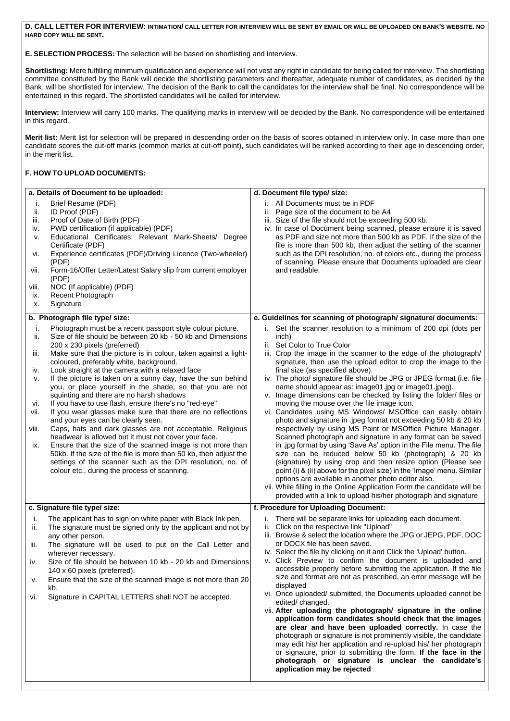**D. CALL LETTER FOR INTERVIEW: INTIMATION/ CALL LETTER FOR INTERVIEW WILL BE SENT BY EMAIL OR WILL BE UPLOADED ON BANK'S WEBSITE. NO HARD COPY WILL BE SENT.**

**E. SELECTION PROCESS:** The selection will be based on shortlisting and interview.

**Shortlisting:** Mere fulfilling minimum qualification and experience will not vest any right in candidate for being called for interview. The shortlisting committee constituted by the Bank will decide the shortlisting parameters and thereafter, adequate number of candidates, as decided by the Bank, will be shortlisted for interview. The decision of the Bank to call the candidates for the interview shall be final. No correspondence will be entertained in this regard. The shortlisted candidates will be called for interview.

**Interview:** Interview will carry 100 marks. The qualifying marks in interview will be decided by the Bank. No correspondence will be entertained in this regard.

**Merit list:** Merit list for selection will be prepared in descending order on the basis of scores obtained in interview only. In case more than one candidate scores the cut-off marks (common marks at cut-off point), such candidates will be ranked according to their age in descending order, in the merit list.

# **F. HOW TO UPLOAD DOCUMENTS:**

| a. Details of Document to be uploaded:                              |                                                                                                                                                                                                                                                                                                                                                                                                                                                                                                                                                                                                                                                                                                                                                                                                                                                                                                                                                                                                                                       | d. Document file type/ size:                                                                                                                                                                                                                                                                                                                                                                                                                                                                                                                                                                                                                                                                                                                                                                                                                                                                                                                                                                                                                                                                                                                                                                                                                                                                   |  |  |  |
|---------------------------------------------------------------------|---------------------------------------------------------------------------------------------------------------------------------------------------------------------------------------------------------------------------------------------------------------------------------------------------------------------------------------------------------------------------------------------------------------------------------------------------------------------------------------------------------------------------------------------------------------------------------------------------------------------------------------------------------------------------------------------------------------------------------------------------------------------------------------------------------------------------------------------------------------------------------------------------------------------------------------------------------------------------------------------------------------------------------------|------------------------------------------------------------------------------------------------------------------------------------------------------------------------------------------------------------------------------------------------------------------------------------------------------------------------------------------------------------------------------------------------------------------------------------------------------------------------------------------------------------------------------------------------------------------------------------------------------------------------------------------------------------------------------------------------------------------------------------------------------------------------------------------------------------------------------------------------------------------------------------------------------------------------------------------------------------------------------------------------------------------------------------------------------------------------------------------------------------------------------------------------------------------------------------------------------------------------------------------------------------------------------------------------|--|--|--|
| т.<br>ii.<br>iii.<br>iv.<br>V.<br>vi.<br>vii.<br>VIII.<br>ix.<br>Х. | Brief Resume (PDF)<br>ID Proof (PDF)<br>Proof of Date of Birth (PDF)<br>PWD certification (if applicable) (PDF)<br>Educational Certificates: Relevant Mark-Sheets/ Degree<br>Certificate (PDF)<br>Experience certificates (PDF)/Driving Licence (Two-wheeler)<br>(PDF)<br>Form-16/Offer Letter/Latest Salary slip from current employer<br>(PDF)<br>NOC (If applicable) (PDF)<br><b>Recent Photograph</b><br>Signature                                                                                                                                                                                                                                                                                                                                                                                                                                                                                                                                                                                                                | All Documents must be in PDF<br>Page size of the document to be A4<br>ii.<br>iii. Size of the file should not be exceeding 500 kb.<br>iv. In case of Document being scanned, please ensure it is saved<br>as PDF and size not more than 500 kb as PDF. If the size of the<br>file is more than 500 kb, then adjust the setting of the scanner<br>such as the DPI resolution, no. of colors etc., during the process<br>of scanning. Please ensure that Documents uploaded are clear<br>and readable.                                                                                                                                                                                                                                                                                                                                                                                                                                                                                                                                                                                                                                                                                                                                                                                           |  |  |  |
|                                                                     | b. Photograph file type/ size:                                                                                                                                                                                                                                                                                                                                                                                                                                                                                                                                                                                                                                                                                                                                                                                                                                                                                                                                                                                                        | e. Guidelines for scanning of photograph/signature/documents:                                                                                                                                                                                                                                                                                                                                                                                                                                                                                                                                                                                                                                                                                                                                                                                                                                                                                                                                                                                                                                                                                                                                                                                                                                  |  |  |  |
| j.<br>ii.<br>iii.<br>iv.<br>V.<br>Vİ.<br>vii.<br>Viii.<br>ix.       | Photograph must be a recent passport style colour picture.<br>Size of file should be between 20 kb - 50 kb and Dimensions<br>200 x 230 pixels (preferred)<br>Make sure that the picture is in colour, taken against a light-<br>coloured, preferably white, background.<br>Look straight at the camera with a relaxed face<br>If the picture is taken on a sunny day, have the sun behind<br>you, or place yourself in the shade, so that you are not<br>squinting and there are no harsh shadows<br>If you have to use flash, ensure there's no "red-eye"<br>If you wear glasses make sure that there are no reflections<br>and your eyes can be clearly seen.<br>Caps, hats and dark glasses are not acceptable. Religious<br>headwear is allowed but it must not cover your face.<br>Ensure that the size of the scanned image is not more than<br>50kb. If the size of the file is more than 50 kb, then adjust the<br>settings of the scanner such as the DPI resolution, no. of<br>colour etc., during the process of scanning. | Set the scanner resolution to a minimum of 200 dpi (dots per<br>i.<br>inch)<br>Set Color to True Color<br>ii.<br>iii. Crop the image in the scanner to the edge of the photograph/<br>signature, then use the upload editor to crop the image to the<br>final size (as specified above).<br>iv. The photo/ signature file should be JPG or JPEG format (i.e. file<br>name should appear as: image01.jpg or image01.jpeg).<br>Image dimensions can be checked by listing the folder/files or<br>v.<br>moving the mouse over the file image icon.<br>vi. Candidates using MS Windows/ MSOffice can easily obtain<br>photo and signature in .jpeg format not exceeding 50 kb & 20 kb<br>respectively by using MS Paint or MSOffice Picture Manager.<br>Scanned photograph and signature in any format can be saved<br>in .jpg format by using 'Save As' option in the File menu. The file<br>size can be reduced below 50 kb (photograph) & 20 kb<br>(signature) by using crop and then resize option (Please see<br>point (i) & (ii) above for the pixel size) in the 'Image' menu. Similar<br>options are available in another photo editor also.<br>vii. While filling in the Online Application Form the candidate will be<br>provided with a link to upload his/her photograph and signature |  |  |  |
|                                                                     | c. Signature file type/ size:                                                                                                                                                                                                                                                                                                                                                                                                                                                                                                                                                                                                                                                                                                                                                                                                                                                                                                                                                                                                         | f. Procedure for Uploading Document:                                                                                                                                                                                                                                                                                                                                                                                                                                                                                                                                                                                                                                                                                                                                                                                                                                                                                                                                                                                                                                                                                                                                                                                                                                                           |  |  |  |
| ı.<br>ii.                                                           | The applicant has to sign on white paper with Black Ink pen.<br>The signature must be signed only by the applicant and not by<br>any other person.                                                                                                                                                                                                                                                                                                                                                                                                                                                                                                                                                                                                                                                                                                                                                                                                                                                                                    | There will be separate links for uploading each document.<br>Click on the respective link "Upload"<br>ii.<br>iii. Browse & select the location where the JPG or JEPG, PDF, DOC                                                                                                                                                                                                                                                                                                                                                                                                                                                                                                                                                                                                                                                                                                                                                                                                                                                                                                                                                                                                                                                                                                                 |  |  |  |

- iii. The signature will be used to put on the Call Letter and wherever necessary.
- iv. Size of file should be between 10 kb 20 kb and Dimensions 140 x 60 pixels (preferred).
- v. Ensure that the size of the scanned image is not more than 20 kb.
- vi. Signature in CAPITAL LETTERS shall NOT be accepted.
- or DOCX file has been saved.
- iv. Select the file by clicking on it and Click the 'Upload' button.
- v. Click Preview to confirm the document is uploaded and accessible properly before submitting the application. If the file size and format are not as prescribed, an error message will be displayed
- vi. Once uploaded/ submitted, the Documents uploaded cannot be edited/ changed.
- vii. **After uploading the photograph/ signature in the online application form candidates should check that the images are clear and have been uploaded correctly.** In case the photograph or signature is not prominently visible, the candidate may edit his/ her application and re-upload his/ her photograph or signature, prior to submitting the form. **If the face in the photograph or signature is unclear the candidate's application may be rejected**